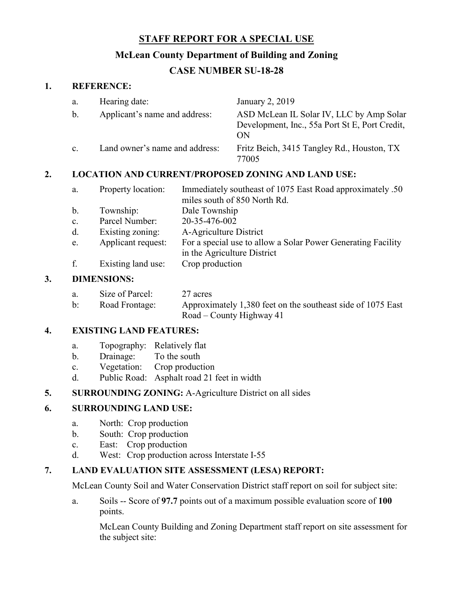# **STAFF REPORT FOR A SPECIAL USE**

# **McLean County Department of Building and Zoning**

# **CASE NUMBER SU-18-28**

### **1. REFERENCE:**

| a.             | Hearing date:                  | January 2, 2019                                                                                  |
|----------------|--------------------------------|--------------------------------------------------------------------------------------------------|
| b.             | Applicant's name and address:  | ASD McLean IL Solar IV, LLC by Amp Solar<br>Development, Inc., 55a Port St E, Port Credit,<br>ON |
| $\mathbf{c}$ . | Land owner's name and address: | Fritz Beich, 3415 Tangley Rd., Houston, TX<br>77005                                              |

## **2. LOCATION AND CURRENT/PROPOSED ZONING AND LAND USE:**

| a.             | Property location: | Immediately southeast of 1075 East Road approximately .50    |
|----------------|--------------------|--------------------------------------------------------------|
|                |                    | miles south of 850 North Rd.                                 |
| $\mathbf{b}$ . | Township:          | Dale Township                                                |
| c.             | Parcel Number:     | 20-35-476-002                                                |
| d.             | Existing zoning:   | A-Agriculture District                                       |
| e.             | Applicant request: | For a special use to allow a Solar Power Generating Facility |

- in the Agriculture District
- f. Existing land use: Crop production

### **3. DIMENSIONS:**

| a.             | Size of Parcel: | 27 acres                                                    |
|----------------|-----------------|-------------------------------------------------------------|
| $\mathbf{b}$ : | Road Frontage:  | Approximately 1,380 feet on the southeast side of 1075 East |
|                |                 | Road – County Highway 41                                    |

### **4. EXISTING LAND FEATURES:**

- a. Topography: Relatively flat
- b. Drainage: To the south
- c. Vegetation: Crop production
- d. Public Road: Asphalt road 21 feet in width

## **5. SURROUNDING ZONING:** A-Agriculture District on all sides

## **6. SURROUNDING LAND USE:**

- a. North: Crop production
- b. South: Crop production
- c. East: Crop production
- d. West: Crop production across Interstate I-55

# **7. LAND EVALUATION SITE ASSESSMENT (LESA) REPORT:**

McLean County Soil and Water Conservation District staff report on soil for subject site:

a. Soils -- Score of **97.7** points out of a maximum possible evaluation score of **100** points.

McLean County Building and Zoning Department staff report on site assessment for the subject site: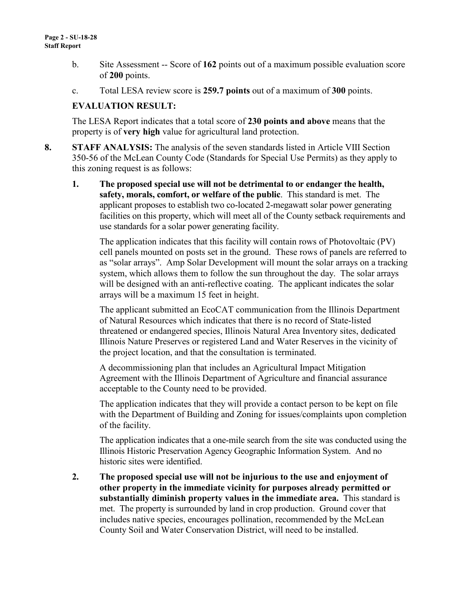- b. Site Assessment -- Score of **162** points out of a maximum possible evaluation score of **200** points.
- c. Total LESA review score is **259.7 points** out of a maximum of **300** points.

### **EVALUATION RESULT:**

The LESA Report indicates that a total score of **230 points and above** means that the property is of **very high** value for agricultural land protection.

- **8. STAFF ANALYSIS:** The analysis of the seven standards listed in Article VIII Section 350-56 of the McLean County Code (Standards for Special Use Permits) as they apply to this zoning request is as follows:
	- **1. The proposed special use will not be detrimental to or endanger the health, safety, morals, comfort, or welfare of the public**. This standard is met. The applicant proposes to establish two co-located 2-megawatt solar power generating facilities on this property, which will meet all of the County setback requirements and use standards for a solar power generating facility.

The application indicates that this facility will contain rows of Photovoltaic (PV) cell panels mounted on posts set in the ground. These rows of panels are referred to as "solar arrays". Amp Solar Development will mount the solar arrays on a tracking system, which allows them to follow the sun throughout the day. The solar arrays will be designed with an anti-reflective coating. The applicant indicates the solar arrays will be a maximum 15 feet in height.

The applicant submitted an EcoCAT communication from the Illinois Department of Natural Resources which indicates that there is no record of State-listed threatened or endangered species, Illinois Natural Area Inventory sites, dedicated Illinois Nature Preserves or registered Land and Water Reserves in the vicinity of the project location, and that the consultation is terminated.

A decommissioning plan that includes an Agricultural Impact Mitigation Agreement with the Illinois Department of Agriculture and financial assurance acceptable to the County need to be provided.

The application indicates that they will provide a contact person to be kept on file with the Department of Building and Zoning for issues/complaints upon completion of the facility.

The application indicates that a one-mile search from the site was conducted using the Illinois Historic Preservation Agency Geographic Information System. And no historic sites were identified.

**2. The proposed special use will not be injurious to the use and enjoyment of other property in the immediate vicinity for purposes already permitted or substantially diminish property values in the immediate area.** This standard is met. The property is surrounded by land in crop production. Ground cover that includes native species, encourages pollination, recommended by the McLean County Soil and Water Conservation District, will need to be installed.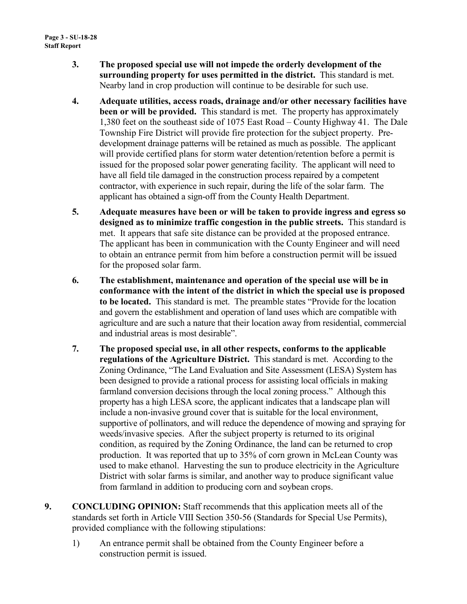- **3. The proposed special use will not impede the orderly development of the surrounding property for uses permitted in the district.** This standard is met. Nearby land in crop production will continue to be desirable for such use.
- **4. Adequate utilities, access roads, drainage and/or other necessary facilities have been or will be provided.** This standard is met. The property has approximately 1,380 feet on the southeast side of 1075 East Road – County Highway 41. The Dale Township Fire District will provide fire protection for the subject property. Predevelopment drainage patterns will be retained as much as possible. The applicant will provide certified plans for storm water detention/retention before a permit is issued for the proposed solar power generating facility. The applicant will need to have all field tile damaged in the construction process repaired by a competent contractor, with experience in such repair, during the life of the solar farm. The applicant has obtained a sign-off from the County Health Department.
- **5. Adequate measures have been or will be taken to provide ingress and egress so designed as to minimize traffic congestion in the public streets.** This standard is met. It appears that safe site distance can be provided at the proposed entrance. The applicant has been in communication with the County Engineer and will need to obtain an entrance permit from him before a construction permit will be issued for the proposed solar farm.
- **6. The establishment, maintenance and operation of the special use will be in conformance with the intent of the district in which the special use is proposed to be located.** This standard is met. The preamble states "Provide for the location and govern the establishment and operation of land uses which are compatible with agriculture and are such a nature that their location away from residential, commercial and industrial areas is most desirable".
- **7. The proposed special use, in all other respects, conforms to the applicable regulations of the Agriculture District.** This standard is met. According to the Zoning Ordinance, "The Land Evaluation and Site Assessment (LESA) System has been designed to provide a rational process for assisting local officials in making farmland conversion decisions through the local zoning process." Although this property has a high LESA score, the applicant indicates that a landscape plan will include a non-invasive ground cover that is suitable for the local environment, supportive of pollinators, and will reduce the dependence of mowing and spraying for weeds/invasive species. After the subject property is returned to its original condition, as required by the Zoning Ordinance, the land can be returned to crop production. It was reported that up to 35% of corn grown in McLean County was used to make ethanol. Harvesting the sun to produce electricity in the Agriculture District with solar farms is similar, and another way to produce significant value from farmland in addition to producing corn and soybean crops.
- **9. CONCLUDING OPINION:** Staff recommends that this application meets all of the standards set forth in Article VIII Section 350-56 (Standards for Special Use Permits), provided compliance with the following stipulations:
	- 1) An entrance permit shall be obtained from the County Engineer before a construction permit is issued.